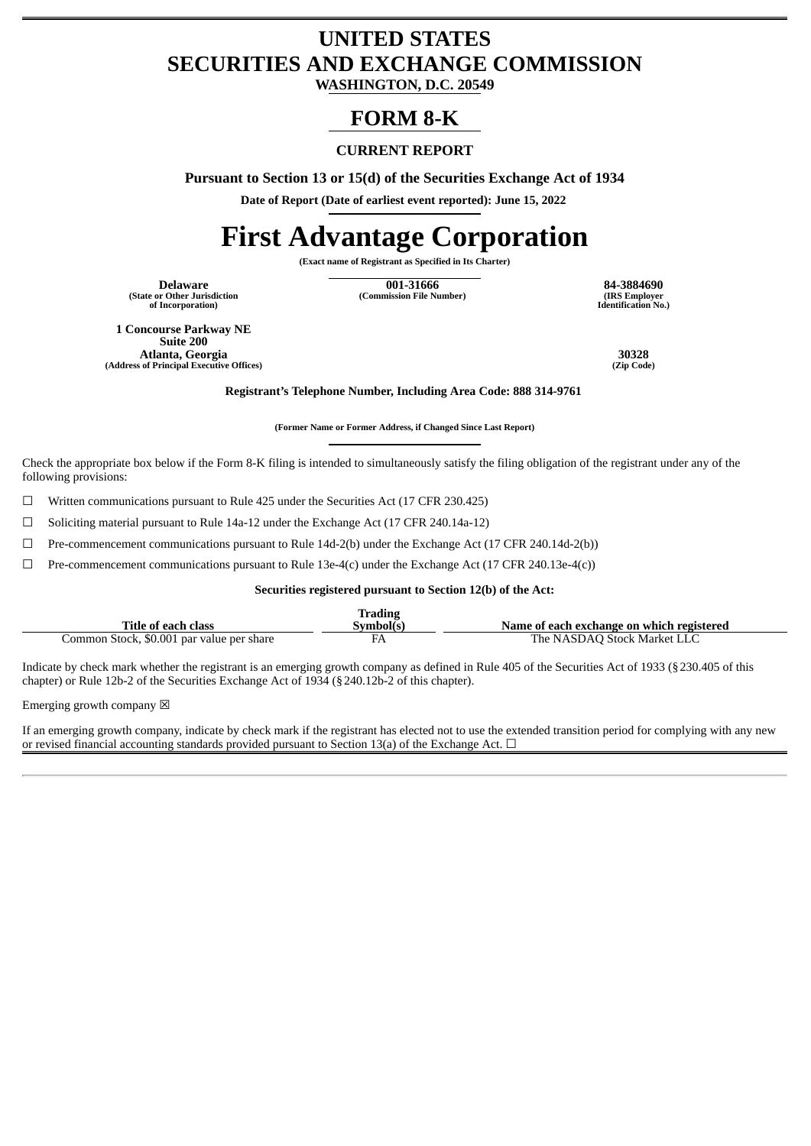# **UNITED STATES SECURITIES AND EXCHANGE COMMISSION**

**WASHINGTON, D.C. 20549**

# **FORM 8-K**

# **CURRENT REPORT**

**Pursuant to Section 13 or 15(d) of the Securities Exchange Act of 1934**

**Date of Report (Date of earliest event reported): June 15, 2022**

# **First Advantage Corporation**

**(Exact name of Registrant as Specified in Its Charter)**

**(State or Other Jurisdiction of Incorporation)**

**Delaware 001-31666 84-3884690 (Commission File Number) (IRS Employer**

**Identification No.)**

**1 Concourse Parkway NE Suite 200 Atlanta, Georgia 30328 (Address of Principal Executive Offices)** 

**Registrant's Telephone Number, Including Area Code: 888 314-9761**

**(Former Name or Former Address, if Changed Since Last Report)**

Check the appropriate box below if the Form 8-K filing is intended to simultaneously satisfy the filing obligation of the registrant under any of the following provisions:

☐ Written communications pursuant to Rule 425 under the Securities Act (17 CFR 230.425)

☐ Soliciting material pursuant to Rule 14a-12 under the Exchange Act (17 CFR 240.14a-12)

☐ Pre-commencement communications pursuant to Rule 14d-2(b) under the Exchange Act (17 CFR 240.14d-2(b))

 $\Box$  Pre-commencement communications pursuant to Rule 13e-4(c) under the Exchange Act (17 CFR 240.13e-4(c))

#### **Securities registered pursuant to Section 12(b) of the Act:**

|                                           | <b>Trading</b> |                                           |
|-------------------------------------------|----------------|-------------------------------------------|
| Title of each class                       | Svmbol(s)      | Name of each exchange on which registered |
| Common Stock, \$0.001 par value per share |                | The NASDAO Stock Market LLC               |

Indicate by check mark whether the registrant is an emerging growth company as defined in Rule 405 of the Securities Act of 1933 (§230.405 of this chapter) or Rule 12b-2 of the Securities Exchange Act of 1934 (§240.12b-2 of this chapter).

Emerging growth company  $\boxtimes$ 

If an emerging growth company, indicate by check mark if the registrant has elected not to use the extended transition period for complying with any new or revised financial accounting standards provided pursuant to Section 13(a) of the Exchange Act.  $\Box$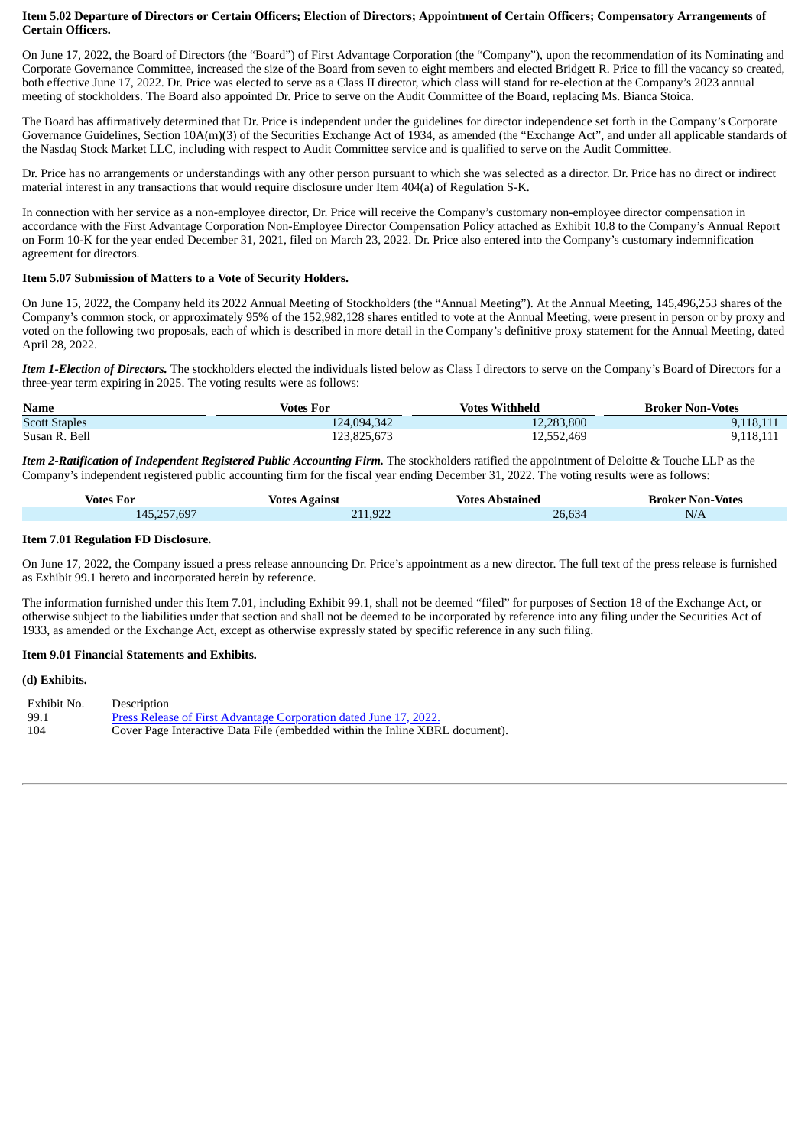#### Item 5.02 Departure of Directors or Certain Officers; Election of Directors; Appointment of Certain Officers; Compensatory Arrangements of **Certain Officers.**

On June 17, 2022, the Board of Directors (the "Board") of First Advantage Corporation (the "Company"), upon the recommendation of its Nominating and Corporate Governance Committee, increased the size of the Board from seven to eight members and elected Bridgett R. Price to fill the vacancy so created, both effective June 17, 2022. Dr. Price was elected to serve as a Class II director, which class will stand for re-election at the Company's 2023 annual meeting of stockholders. The Board also appointed Dr. Price to serve on the Audit Committee of the Board, replacing Ms. Bianca Stoica.

The Board has affirmatively determined that Dr. Price is independent under the guidelines for director independence set forth in the Company's Corporate Governance Guidelines, Section 10A(m)(3) of the Securities Exchange Act of 1934, as amended (the "Exchange Act", and under all applicable standards of the Nasdaq Stock Market LLC, including with respect to Audit Committee service and is qualified to serve on the Audit Committee.

Dr. Price has no arrangements or understandings with any other person pursuant to which she was selected as a director. Dr. Price has no direct or indirect material interest in any transactions that would require disclosure under Item 404(a) of Regulation S-K.

In connection with her service as a non-employee director, Dr. Price will receive the Company's customary non-employee director compensation in accordance with the First Advantage Corporation Non-Employee Director Compensation Policy attached as Exhibit 10.8 to the Company's Annual Report on Form 10-K for the year ended December 31, 2021, filed on March 23, 2022. Dr. Price also entered into the Company's customary indemnification agreement for directors.

#### **Item 5.07 Submission of Matters to a Vote of Security Holders.**

On June 15, 2022, the Company held its 2022 Annual Meeting of Stockholders (the "Annual Meeting"). At the Annual Meeting, 145,496,253 shares of the Company's common stock, or approximately 95% of the 152,982,128 shares entitled to vote at the Annual Meeting, were present in person or by proxy and voted on the following two proposals, each of which is described in more detail in the Company's definitive proxy statement for the Annual Meeting, dated April 28, 2022.

*Item 1-Election of Directors.* The stockholders elected the individuals listed below as Class I directors to serve on the Company's Board of Directors for a three-year term expiring in 2025. The voting results were as follows:

| <b>Name</b>          | Votes For   | <b>Votes Withheld</b> | <b>Broker Non-Votes</b> |
|----------------------|-------------|-----------------------|-------------------------|
| <b>Scott Staples</b> | 124,094,342 | 12,283,800            | 9,118,111               |
| Susan R. Bell        | 123,825,673 | 12,552,469            | 9,118,111               |

*Item 2-Ratification of Independent Registered Public Accounting Firm.* The stockholders ratified the appointment of Deloitte & Touche LLP as the Company's independent registered public accounting firm for the fiscal year ending December 31, 2022. The voting results were as follows:

| Votes For   | Votes<br>Against | Abstained<br>Votes | <b>Broker Non-Votes</b> |
|-------------|------------------|--------------------|-------------------------|
| 145,257,697 | 211,922<br>711   | 26,634             | N/A                     |

#### **Item 7.01 Regulation FD Disclosure.**

On June 17, 2022, the Company issued a press release announcing Dr. Price's appointment as a new director. The full text of the press release is furnished as Exhibit 99.1 hereto and incorporated herein by reference.

The information furnished under this Item 7.01, including Exhibit 99.1, shall not be deemed "filed" for purposes of Section 18 of the Exchange Act, or otherwise subject to the liabilities under that section and shall not be deemed to be incorporated by reference into any filing under the Securities Act of 1933, as amended or the Exchange Act, except as otherwise expressly stated by specific reference in any such filing.

#### **Item 9.01 Financial Statements and Exhibits.**

#### **(d) Exhibits.**

| Exhibit No. | Description                                                                  |
|-------------|------------------------------------------------------------------------------|
| ن 99        | Press Release of First Advantage Corporation dated June 17, 2022.            |
| 104         | Cover Page Interactive Data File (embedded within the Inline XBRL document). |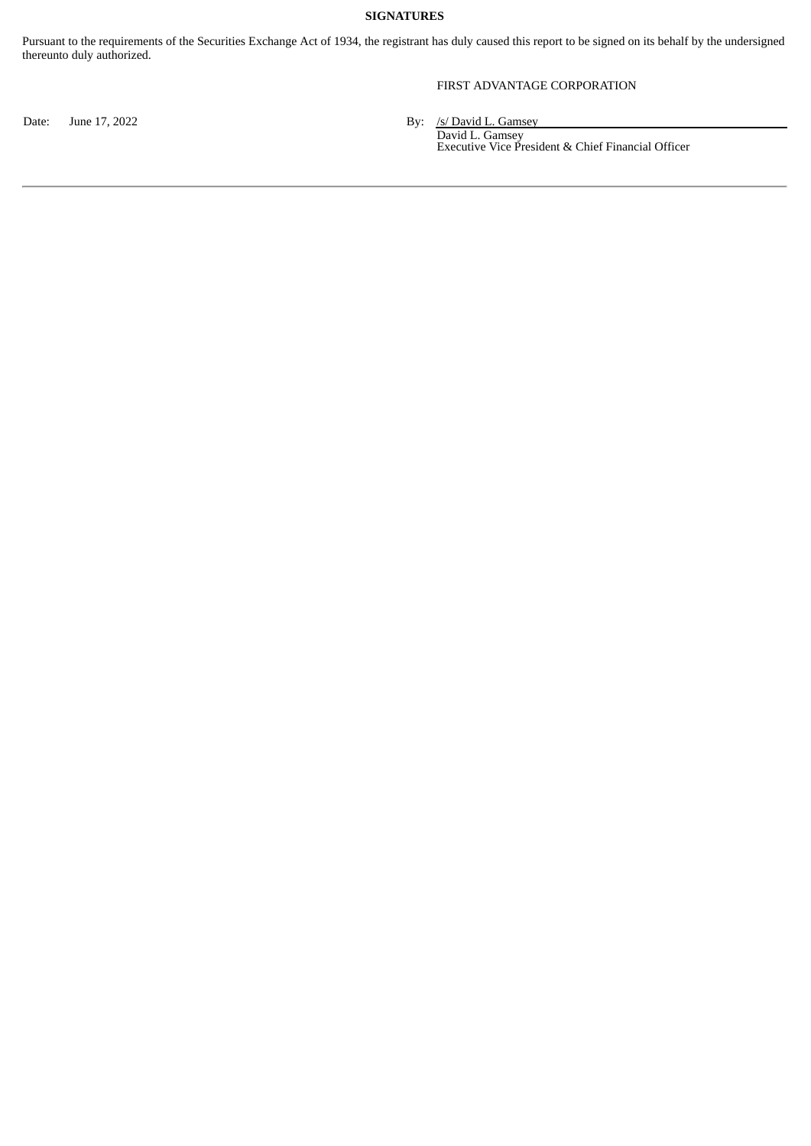## **SIGNATURES**

Pursuant to the requirements of the Securities Exchange Act of 1934, the registrant has duly caused this report to be signed on its behalf by the undersigned thereunto duly authorized.

## FIRST ADVANTAGE CORPORATION

Date: June 17, 2022 **By:** /s/ David L. Gamsey

David L. Gamsey Executive Vice President & Chief Financial Officer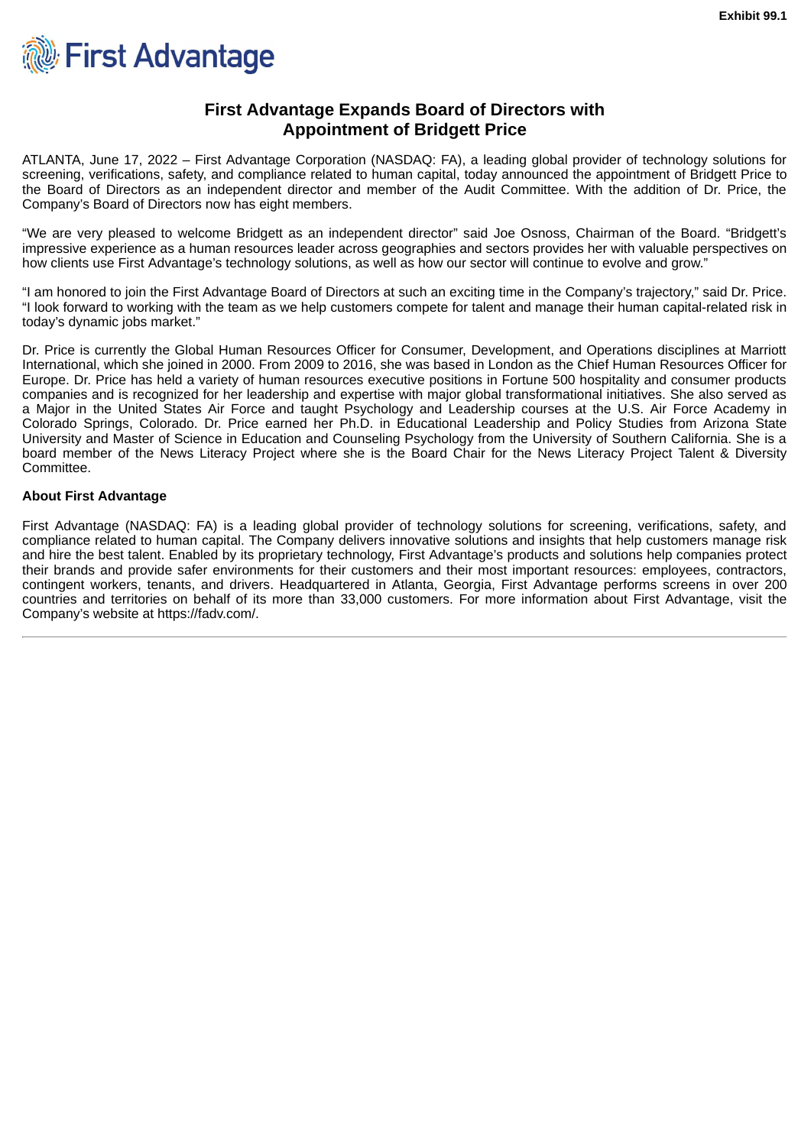<span id="page-3-0"></span>

# **First Advantage Expands Board of Directors with Appointment of Bridgett Price**

ATLANTA, June 17, 2022 – First Advantage Corporation (NASDAQ: FA), a leading global provider of technology solutions for screening, verifications, safety, and compliance related to human capital, today announced the appointment of Bridgett Price to the Board of Directors as an independent director and member of the Audit Committee. With the addition of Dr. Price, the Company's Board of Directors now has eight members.

"We are very pleased to welcome Bridgett as an independent director" said Joe Osnoss, Chairman of the Board. "Bridgett's impressive experience as a human resources leader across geographies and sectors provides her with valuable perspectives on how clients use First Advantage's technology solutions, as well as how our sector will continue to evolve and grow."

"I am honored to join the First Advantage Board of Directors at such an exciting time in the Company's trajectory," said Dr. Price. "I look forward to working with the team as we help customers compete for talent and manage their human capital-related risk in today's dynamic jobs market."

Dr. Price is currently the Global Human Resources Officer for Consumer, Development, and Operations disciplines at Marriott International, which she joined in 2000. From 2009 to 2016, she was based in London as the Chief Human Resources Officer for Europe. Dr. Price has held a variety of human resources executive positions in Fortune 500 hospitality and consumer products companies and is recognized for her leadership and expertise with major global transformational initiatives. She also served as a Major in the United States Air Force and taught Psychology and Leadership courses at the U.S. Air Force Academy in Colorado Springs, Colorado. Dr. Price earned her Ph.D. in Educational Leadership and Policy Studies from Arizona State University and Master of Science in Education and Counseling Psychology from the University of Southern California. She is a board member of the News Literacy Project where she is the Board Chair for the News Literacy Project Talent & Diversity Committee.

## **About First Advantage**

First Advantage (NASDAQ: FA) is a leading global provider of technology solutions for screening, verifications, safety, and compliance related to human capital. The Company delivers innovative solutions and insights that help customers manage risk and hire the best talent. Enabled by its proprietary technology, First Advantage's products and solutions help companies protect their brands and provide safer environments for their customers and their most important resources: employees, contractors, contingent workers, tenants, and drivers. Headquartered in Atlanta, Georgia, First Advantage performs screens in over 200 countries and territories on behalf of its more than 33,000 customers. For more information about First Advantage, visit the Company's website at https://fadv.com/.